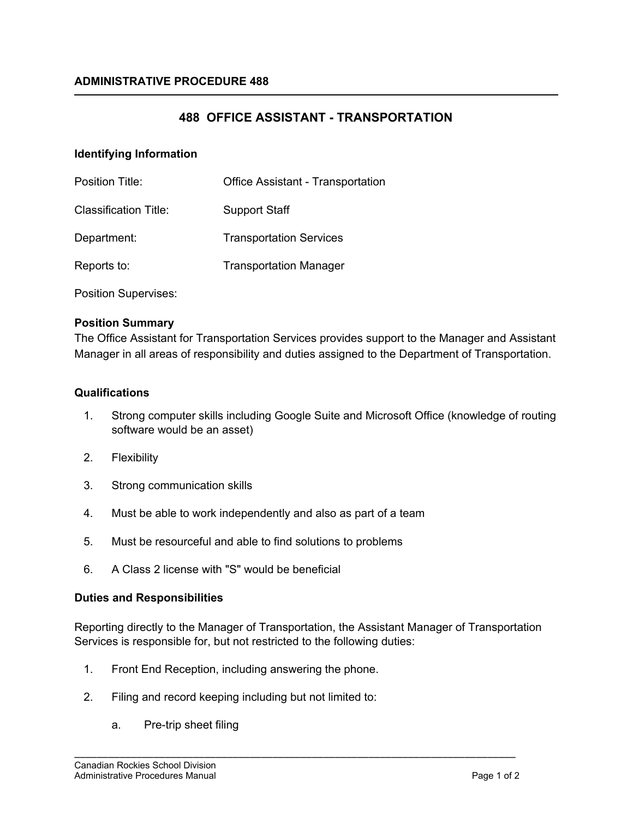# **488 OFFICE ASSISTANT - TRANSPORTATION**

## **Identifying Information**

| <b>Position Title:</b> | <b>Office Assistant - Transportation</b> |
|------------------------|------------------------------------------|
| Classification Title:  | <b>Support Staff</b>                     |
| Department:            | <b>Transportation Services</b>           |
| Reports to:            | <b>Transportation Manager</b>            |

Position Supervises:

## **Position Summary**

The Office Assistant for Transportation Services provides support to the Manager and Assistant Manager in all areas of responsibility and duties assigned to the Department of Transportation.

## **Qualifications**

- 1. Strong computer skills including Google Suite and Microsoft Office (knowledge of routing software would be an asset)
- 2. Flexibility
- 3. Strong communication skills
- 4. Must be able to work independently and also as part of a team
- 5. Must be resourceful and able to find solutions to problems
- 6. A Class 2 license with "S" would be beneficial

### **Duties and Responsibilities**

Reporting directly to the Manager of Transportation, the Assistant Manager of Transportation Services is responsible for, but not restricted to the following duties:

\_\_\_\_\_\_\_\_\_\_\_\_\_\_\_\_\_\_\_\_\_\_\_\_\_\_\_\_\_\_\_\_\_\_\_\_\_\_\_\_\_\_\_\_\_\_\_\_\_\_\_\_\_\_\_\_\_\_\_\_\_\_\_\_\_\_\_\_\_\_\_\_\_\_\_\_\_\_

- 1. Front End Reception, including answering the phone.
- 2. Filing and record keeping including but not limited to:
	- a. Pre-trip sheet filing